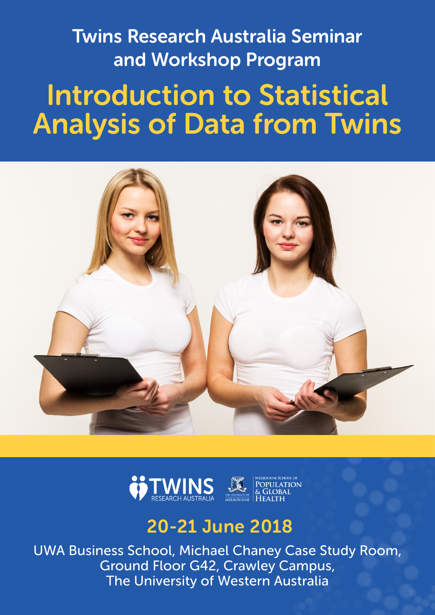Twins Research Australia Seminar and Workshop Program

# Introduction to Statistical Analysis of Data from Twins





## 20-21 June 2018

UWA Business School, Michael Chaney Case Study Room, Ground Floor G42, Crawley Campus, The University of Western Australia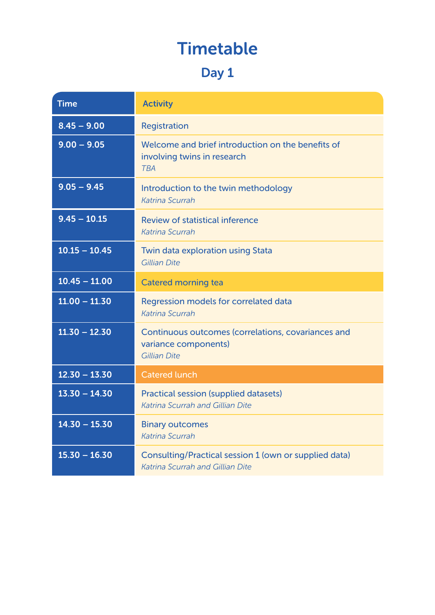## Timetable

### Day 1

| <b>Time</b>     | <b>Activity</b>                                                                                         |
|-----------------|---------------------------------------------------------------------------------------------------------|
| $8.45 - 9.00$   | Registration                                                                                            |
| $9.00 - 9.05$   | Welcome and brief introduction on the benefits of<br>involving twins in research<br><b>TBA</b>          |
| $9.05 - 9.45$   | Introduction to the twin methodology<br><b>Katrina Scurrah</b>                                          |
| $9.45 - 10.15$  | <b>Review of statistical inference</b><br>Katrina Scurrah                                               |
| $10.15 - 10.45$ | Twin data exploration using Stata<br><b>Gillian Dite</b>                                                |
| $10.45 - 11.00$ | <b>Catered morning tea</b>                                                                              |
| $11.00 - 11.30$ | Regression models for correlated data<br>Katrina Scurrah                                                |
| $11.30 - 12.30$ | Continuous outcomes (correlations, covariances and<br>variance components)<br><b>Gillian Dite</b>       |
| $12.30 - 13.30$ | <b>Catered lunch</b>                                                                                    |
| $13.30 - 14.30$ | <b>Practical session (supplied datasets)</b><br><b>Katrina Scurrah and Gillian Dite</b>                 |
| $14.30 - 15.30$ | <b>Binary outcomes</b><br>Katrina Scurrah                                                               |
| $15.30 - 16.30$ | <b>Consulting/Practical session 1 (own or supplied data)</b><br><b>Katrina Scurrah and Gillian Dite</b> |